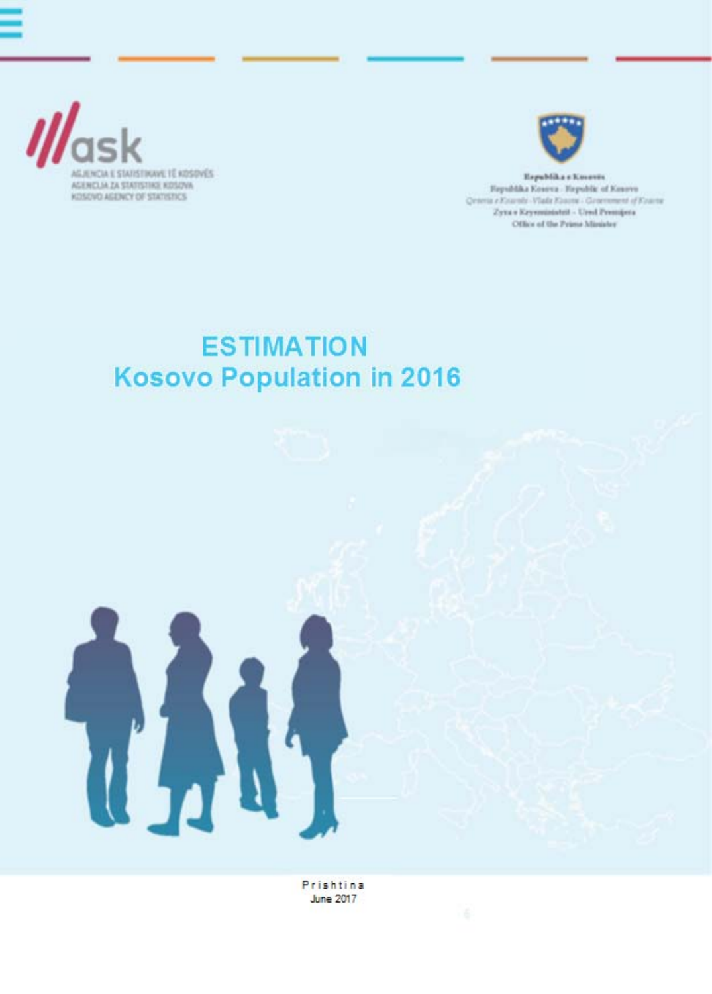



Republika s Koveres Fayshkka Kosova - Hepublic of Kosovo Qeneta e Kourole-Vlade Kouroe - Geocoment of Kouroe Zyne » Krywniaństni - Urad Premijera Office of the Prime Minister

## **ESTIMATION Kosovo Population in 2016**



Prishtina **June 2017**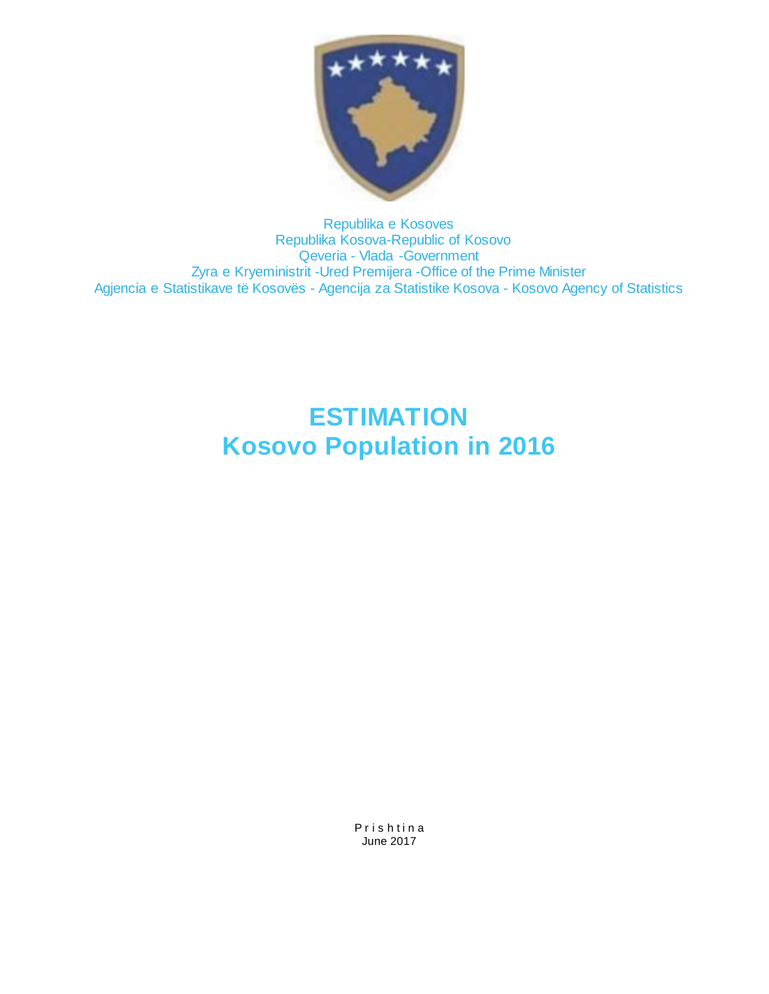

Republika e Kosoves Republika Kosova-Republic of Kosovo Qeveria - Vlada -Government Zyra e Kryeministrit -Ured Premijera -Office of the Prime Minister Agjencia e Statistikave të Kosovës - Agencija za Statistike Kosova - Kosovo Agency of Statistics

# **ESTIMATION Kosovo Population in 2016**

Prishtina June 2017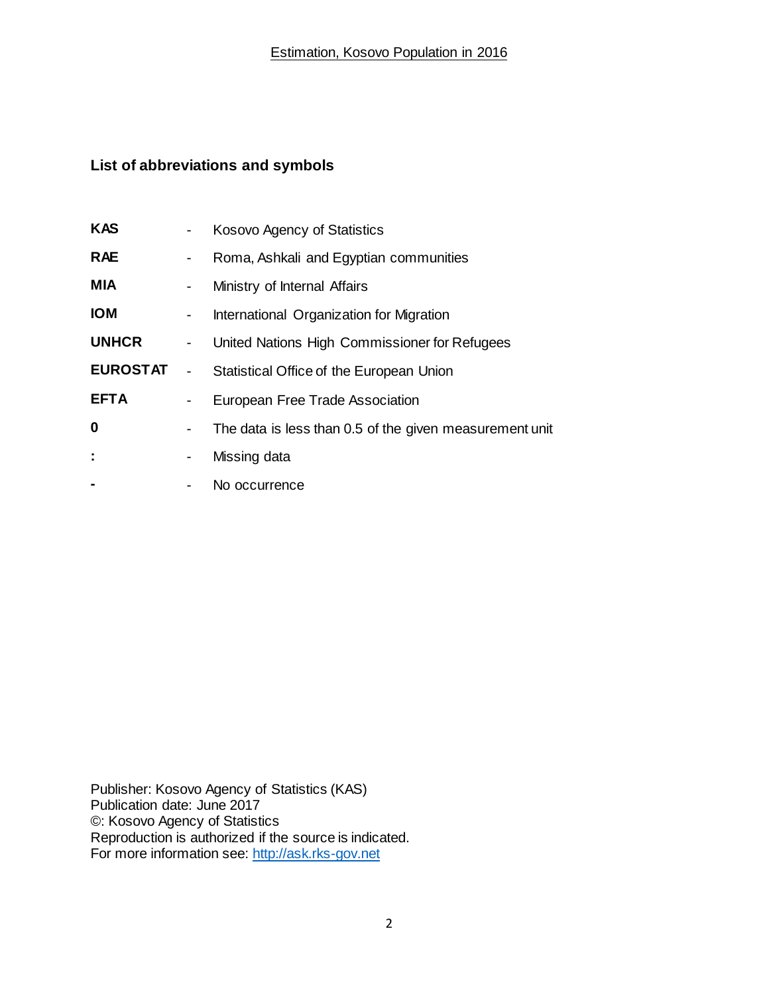#### **List of abbreviations and symbols**

| <b>KAS</b>      | ۰                        | Kosovo Agency of Statistics                             |
|-----------------|--------------------------|---------------------------------------------------------|
| <b>RAE</b>      | ٠                        | Roma, Ashkali and Egyptian communities                  |
| <b>MIA</b>      | -                        | Ministry of Internal Affairs                            |
| <b>IOM</b>      | ٠                        | International Organization for Migration                |
| <b>UNHCR</b>    | $\blacksquare$           | United Nations High Commissioner for Refugees           |
| <b>EUROSTAT</b> | $\overline{\phantom{0}}$ | Statistical Office of the European Union                |
| <b>EFTA</b>     | $\blacksquare$           | European Free Trade Association                         |
| $\bf{0}$        | $\blacksquare$           | The data is less than 0.5 of the given measurement unit |
| ÷               | -                        | Missing data                                            |
| -               |                          | No occurrence                                           |

Publisher: Kosovo Agency of Statistics (KAS) Publication date: June 2017 ©: Kosovo Agency of Statistics Reproduction is authorized if the source is indicated. For more information see: [http://ask.rks-gov.net](http://ask.rks-gov.net/)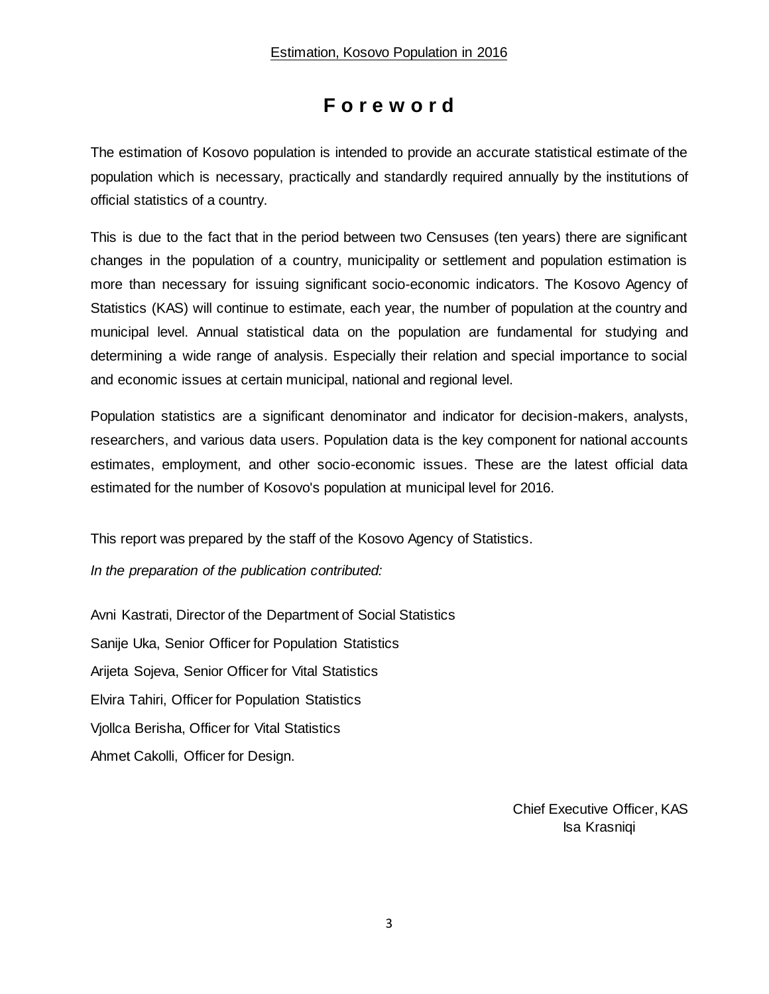## **F o r e w o r d**

The estimation of Kosovo population is intended to provide an accurate statistical estimate of the population which is necessary, practically and standardly required annually by the institutions of official statistics of a country.

This is due to the fact that in the period between two Censuses (ten years) there are significant changes in the population of a country, municipality or settlement and population estimation is more than necessary for issuing significant socio-economic indicators. The Kosovo Agency of Statistics (KAS) will continue to estimate, each year, the number of population at the country and municipal level. Annual statistical data on the population are fundamental for studying and determining a wide range of analysis. Especially their relation and special importance to social and economic issues at certain municipal, national and regional level.

Population statistics are a significant denominator and indicator for decision-makers, analysts, researchers, and various data users. Population data is the key component for national accounts estimates, employment, and other socio-economic issues. These are the latest official data estimated for the number of Kosovo's population at municipal level for 2016.

This report was prepared by the staff of the Kosovo Agency of Statistics.

*In the preparation of the publication contributed:*

Avni Kastrati, Director of the Department of Social Statistics Sanije Uka, Senior Officer for Population Statistics Arijeta Sojeva, Senior Officer for Vital Statistics Elvira Tahiri, Officer for Population Statistics Vjollca Berisha, Officer for Vital Statistics Ahmet Cakolli, Officer for Design.

> Chief Executive Officer, KAS Isa Krasniqi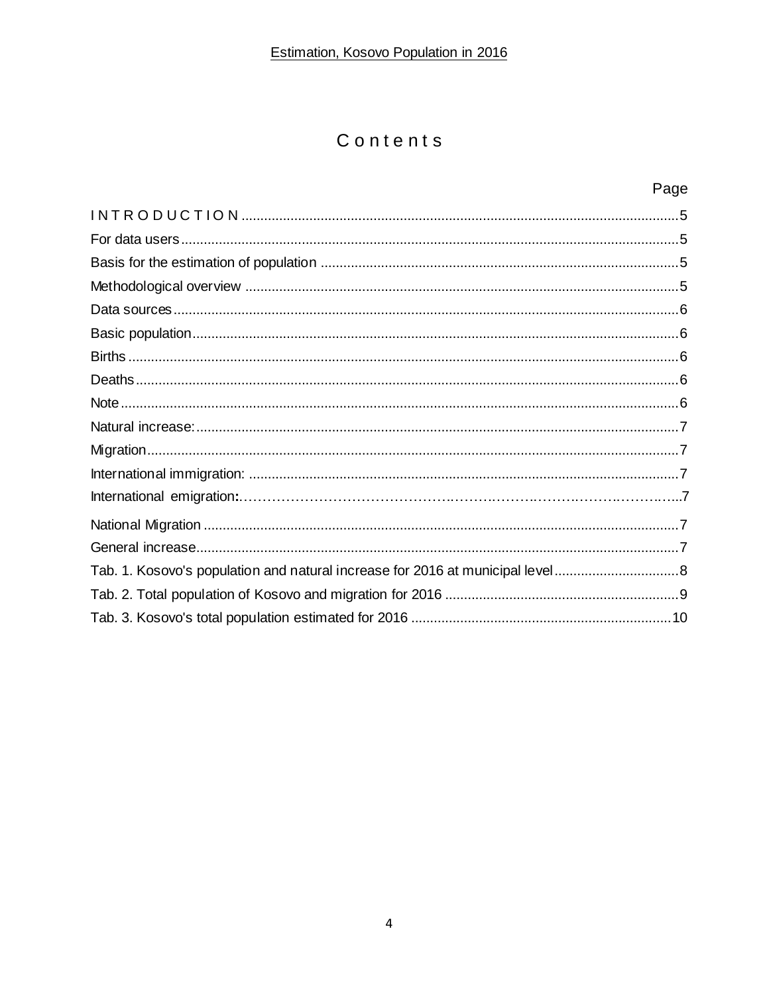## Contents

### Page

<span id="page-4-0"></span>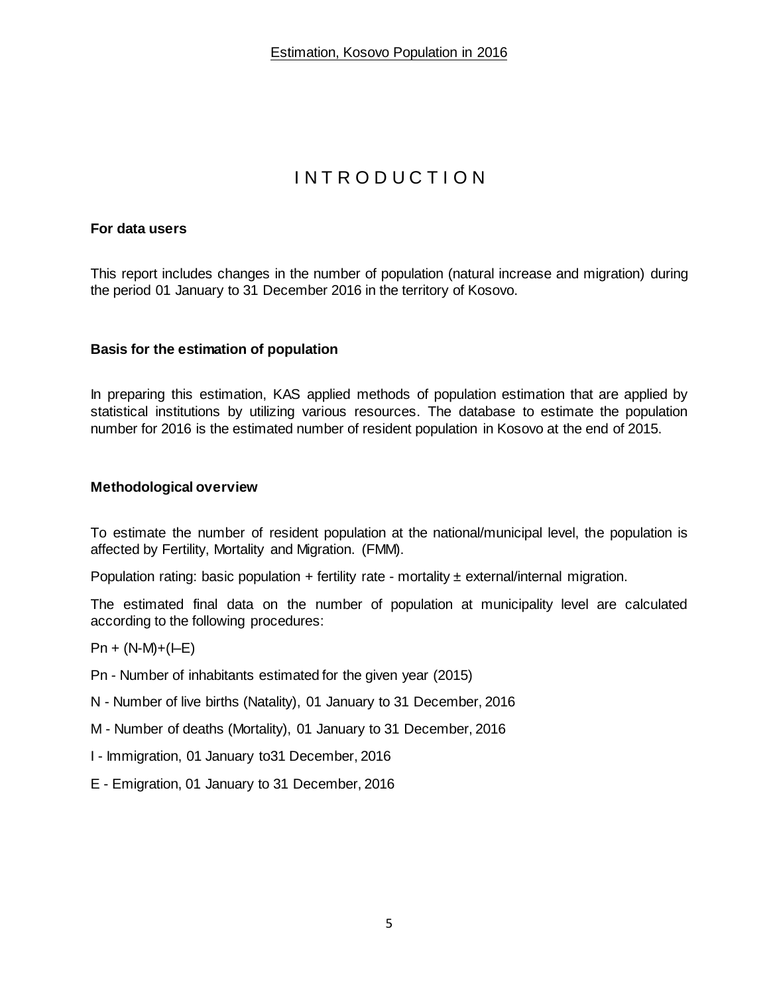## I N T R O D U C T I O N

#### <span id="page-5-0"></span>**For data users**

This report includes changes in the number of population (natural increase and migration) during the period 01 January to 31 December 2016 in the territory of Kosovo.

#### <span id="page-5-1"></span>**Basis for the estimation of population**

In preparing this estimation, KAS applied methods of population estimation that are applied by statistical institutions by utilizing various resources. The database to estimate the population number for 2016 is the estimated number of resident population in Kosovo at the end of 2015.

#### <span id="page-5-2"></span>**Methodological overview**

To estimate the number of resident population at the national/municipal level, the population is affected by Fertility, Mortality and Migration. (FMM).

Population rating: basic population + fertility rate - mortality  $\pm$  external/internal migration.

The estimated final data on the number of population at municipality level are calculated according to the following procedures:

#### $Pn + (N-M)+(E)$

- Pn Number of inhabitants estimated for the given year (2015)
- N Number of live births (Natality), 01 January to 31 December, 2016
- M Number of deaths (Mortality), 01 January to 31 December, 2016
- I Immigration, 01 January to31 December, 2016
- <span id="page-5-3"></span>E - Emigration, 01 January to 31 December, 2016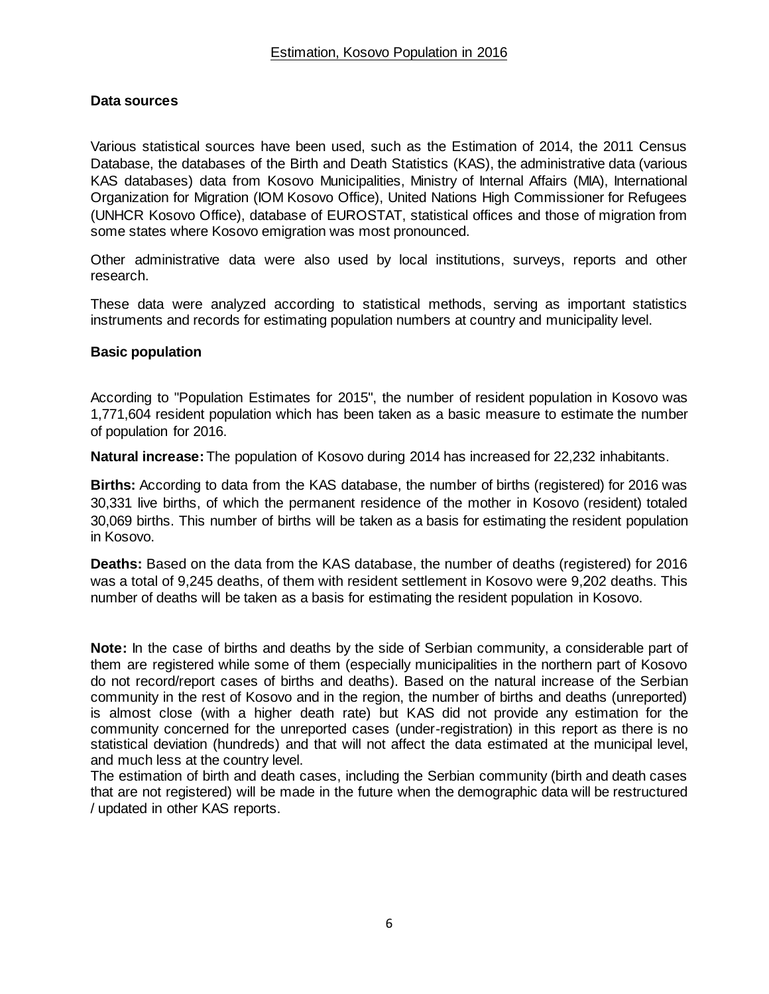#### **Data sources**

Various statistical sources have been used, such as the Estimation of 2014, the 2011 Census Database, the databases of the Birth and Death Statistics (KAS), the administrative data (various KAS databases) data from Kosovo Municipalities, Ministry of Internal Affairs (MIA), International Organization for Migration (IOM Kosovo Office), United Nations High Commissioner for Refugees (UNHCR Kosovo Office), database of EUROSTAT, statistical offices and those of migration from some states where Kosovo emigration was most pronounced.

Other administrative data were also used by local institutions, surveys, reports and other research.

These data were analyzed according to statistical methods, serving as important statistics instruments and records for estimating population numbers at country and municipality level.

#### <span id="page-6-0"></span>**Basic population**

According to "Population Estimates for 2015", the number of resident population in Kosovo was 1,771,604 resident population which has been taken as a basic measure to estimate the number of population for 2016.

**Natural increase:** The population of Kosovo during 2014 has increased for 22,232 inhabitants.

<span id="page-6-1"></span>**Births:** According to data from the KAS database, the number of births (registered) for 2016 was 30,331 live births, of which the permanent residence of the mother in Kosovo (resident) totaled 30,069 births. This number of births will be taken as a basis for estimating the resident population in Kosovo.

<span id="page-6-2"></span>**Deaths:** Based on the data from the KAS database, the number of deaths (registered) for 2016 was a total of 9,245 deaths, of them with resident settlement in Kosovo were 9,202 deaths. This number of deaths will be taken as a basis for estimating the resident population in Kosovo.

<span id="page-6-3"></span>**Note:** In the case of births and deaths by the side of Serbian community, a considerable part of them are registered while some of them (especially municipalities in the northern part of Kosovo do not record/report cases of births and deaths). Based on the natural increase of the Serbian community in the rest of Kosovo and in the region, the number of births and deaths (unreported) is almost close (with a higher death rate) but KAS did not provide any estimation for the community concerned for the unreported cases (under-registration) in this report as there is no statistical deviation (hundreds) and that will not affect the data estimated at the municipal level, and much less at the country level.

The estimation of birth and death cases, including the Serbian community (birth and death cases that are not registered) will be made in the future when the demographic data will be restructured / updated in other KAS reports.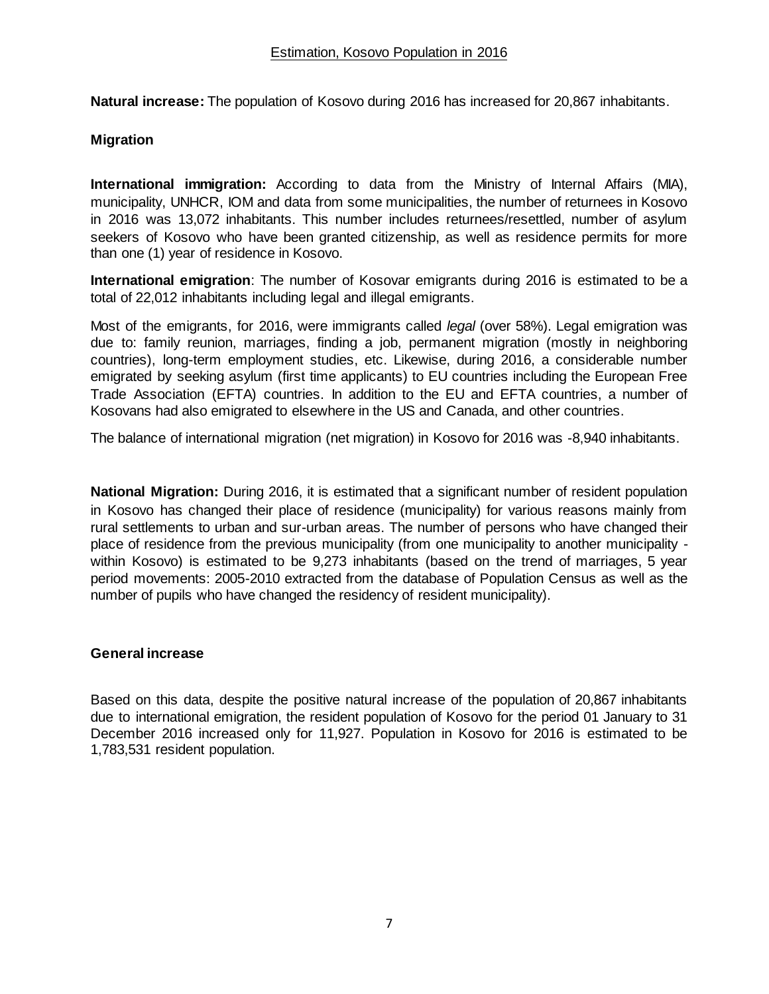<span id="page-7-0"></span>**Natural increase:** The population of Kosovo during 2016 has increased for 20,867 inhabitants.

#### <span id="page-7-1"></span>**Migration**

<span id="page-7-2"></span>**International immigration:** According to data from the Ministry of Internal Affairs (MIA), municipality, UNHCR, IOM and data from some municipalities, the number of returnees in Kosovo in 2016 was 13,072 inhabitants. This number includes returnees/resettled, number of asylum seekers of Kosovo who have been granted citizenship, as well as residence permits for more than one (1) year of residence in Kosovo.

**International emigration**: The number of Kosovar emigrants during 2016 is estimated to be a total of 22,012 inhabitants including legal and illegal emigrants.

Most of the emigrants, for 2016, were immigrants called *legal* (over 58%). Legal emigration was due to: family reunion, marriages, finding a job, permanent migration (mostly in neighboring countries), long-term employment studies, etc. Likewise, during 2016, a considerable number emigrated by seeking asylum (first time applicants) to EU countries including the European Free Trade Association (EFTA) countries. In addition to the EU and EFTA countries, a number of Kosovans had also emigrated to elsewhere in the US and Canada, and other countries.

The balance of international migration (net migration) in Kosovo for 2016 was -8,940 inhabitants.

<span id="page-7-3"></span>**National Migration:** During 2016, it is estimated that a significant number of resident population in Kosovo has changed their place of residence (municipality) for various reasons mainly from rural settlements to urban and sur-urban areas. The number of persons who have changed their place of residence from the previous municipality (from one municipality to another municipality within Kosovo) is estimated to be 9,273 inhabitants (based on the trend of marriages, 5 year period movements: 2005-2010 extracted from the database of Population Census as well as the number of pupils who have changed the residency of resident municipality).

#### <span id="page-7-4"></span>**General increase**

Based on this data, despite the positive natural increase of the population of 20,867 inhabitants due to international emigration, the resident population of Kosovo for the period 01 January to 31 December 2016 increased only for 11,927. Population in Kosovo for 2016 is estimated to be 1,783,531 resident population.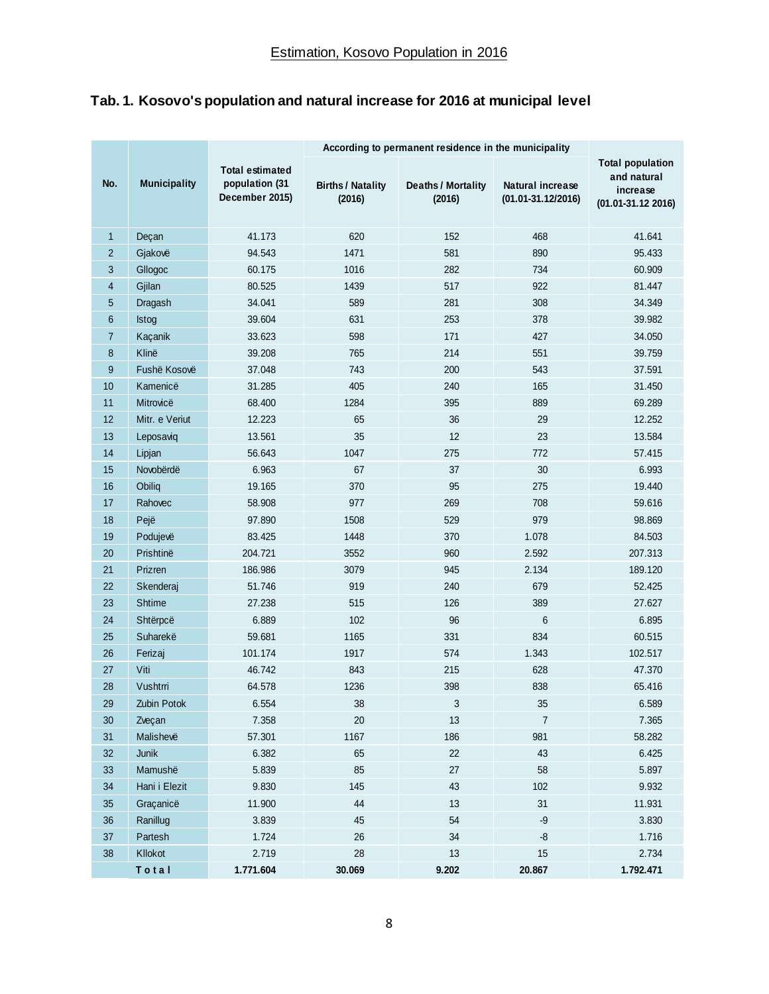## <span id="page-8-0"></span>**Tab. 1. Kosovo's population and natural increase for 2016 at municipal level**

|                |                     |                                                            | According to permanent residence in the municipality |                                     |                                                   |                                                                              |  |  |
|----------------|---------------------|------------------------------------------------------------|------------------------------------------------------|-------------------------------------|---------------------------------------------------|------------------------------------------------------------------------------|--|--|
| No.            | <b>Municipality</b> | <b>Total estimated</b><br>population (31<br>December 2015) | <b>Births / Natality</b><br>(2016)                   | <b>Deaths / Mortality</b><br>(2016) | <b>Natural increase</b><br>$(01.01 - 31.12/2016)$ | <b>Total population</b><br>and natural<br>increase<br>$(01.01 - 31.12 2016)$ |  |  |
| $\mathbf{1}$   | Deçan               | 41.173                                                     | 620                                                  | 152<br>468                          |                                                   | 41.641                                                                       |  |  |
| $\overline{2}$ | Gjakovë             | 94.543                                                     | 1471                                                 | 581                                 | 890                                               | 95.433                                                                       |  |  |
| 3              | Gllogoc             | 60.175                                                     | 1016                                                 | 282                                 | 734                                               | 60.909                                                                       |  |  |
| 4              | Gjilan              | 80.525                                                     | 1439                                                 | 517                                 | 922                                               | 81.447                                                                       |  |  |
| 5              | Dragash             | 34.041                                                     | 589                                                  | 281                                 | 308                                               | 34.349                                                                       |  |  |
| 6              | <b>Istog</b>        | 39.604                                                     | 631                                                  | 253                                 | 378                                               | 39.982                                                                       |  |  |
| $\overline{7}$ | Kaçanik             | 33.623                                                     | 598                                                  | 171                                 | 427                                               | 34.050                                                                       |  |  |
| 8              | Klinë               | 39.208                                                     | 765                                                  | 214                                 | 551                                               | 39.759                                                                       |  |  |
| 9              | Fushë Kosovë        | 37.048                                                     | 743                                                  | 200                                 | 543                                               | 37.591                                                                       |  |  |
| 10             | Kamenicë            | 31.285                                                     | 405                                                  | 240                                 | 165                                               | 31.450                                                                       |  |  |
| 11             | Mitrovicë           | 68.400                                                     | 1284                                                 | 395                                 | 889                                               | 69.289                                                                       |  |  |
| 12             | Mitr. e Veriut      | 12.223                                                     | 65                                                   | 36                                  | 29                                                | 12.252                                                                       |  |  |
| 13             | Leposaviq           | 13.561                                                     | 35                                                   | 12                                  | 23                                                | 13.584                                                                       |  |  |
| 14             | Lipjan              | 56.643                                                     | 1047                                                 | 275                                 | 772                                               | 57.415                                                                       |  |  |
| 15             | Novobërdë           | 6.963                                                      | 67                                                   | 37                                  | 30                                                | 6.993                                                                        |  |  |
| 16             | Obiliq              | 19.165                                                     | 370                                                  | 95                                  | 275                                               | 19.440                                                                       |  |  |
| 17             | Rahovec             | 58.908                                                     | 977                                                  | 269                                 | 708                                               | 59.616                                                                       |  |  |
| 18             | Pejë                | 97.890                                                     | 1508                                                 | 529                                 | 979                                               | 98.869                                                                       |  |  |
| 19             | Podujevë            | 83.425                                                     | 1448                                                 | 370                                 | 1.078                                             | 84.503                                                                       |  |  |
| 20             | Prishtinë           | 204.721                                                    | 3552                                                 | 960                                 | 2.592                                             | 207.313                                                                      |  |  |
| 21             | Prizren             | 186.986                                                    | 3079                                                 | 945                                 | 2.134                                             | 189.120                                                                      |  |  |
| 22             | Skenderaj           | 51.746                                                     | 919                                                  | 240                                 | 679                                               | 52.425                                                                       |  |  |
| 23             | <b>Shtime</b>       | 27.238                                                     | 515                                                  | 126                                 | 389                                               | 27.627                                                                       |  |  |
| 24             | Shtërpcë            | 6.889                                                      | 102                                                  | 96                                  | 6                                                 | 6.895                                                                        |  |  |
| 25             | Suharekë            | 59.681                                                     | 1165                                                 | 331                                 | 834                                               | 60.515                                                                       |  |  |
| 26             | Ferizaj             | 101.174                                                    | 1917                                                 | 574                                 | 1.343                                             | 102.517                                                                      |  |  |
| 27             | Viti                | 46.742                                                     | 843                                                  | 215                                 | 628                                               | 47.370                                                                       |  |  |
| 28             | Vushtrri            | 64.578                                                     | 1236                                                 | 398                                 | 838                                               | 65.416                                                                       |  |  |
| 29             | Zubin Potok         | 6.554                                                      | 38                                                   | 3                                   | $35\,$                                            | 6.589                                                                        |  |  |
| 30             | Zveçan              | 7.358                                                      | $20\,$                                               | 13                                  | $\boldsymbol{7}$                                  | 7.365                                                                        |  |  |
| 31             | Malishevë           | 57.301                                                     | 1167                                                 | 186                                 | 981                                               | 58.282                                                                       |  |  |
| 32             | Junik               | 6.382                                                      | 65                                                   | 22                                  | 43                                                | 6.425                                                                        |  |  |
| 33             | Mamushë             | 5.839                                                      | 85                                                   | 27                                  | 58                                                | 5.897                                                                        |  |  |
| 34             | Hani i Elezit       | 9.830                                                      | 145                                                  | 43                                  | 102                                               | 9.932                                                                        |  |  |
| 35             | Graçanicë           | 11.900                                                     | 44                                                   | 13                                  | 31                                                | 11.931                                                                       |  |  |
| 36             | Ranillug            | 3.839                                                      | 45                                                   | 54                                  | $-9$                                              | 3.830                                                                        |  |  |
| $37\,$         | Partesh             | 1.724                                                      | 26                                                   | 34                                  | $\mbox{-}8$                                       | 1.716                                                                        |  |  |
| 38             | Kllokot             | 2.719                                                      | 28                                                   | 13                                  | 15                                                | 2.734                                                                        |  |  |
|                | Total               | 1.771.604                                                  | 30.069                                               | 9.202                               | 20.867                                            | 1.792.471                                                                    |  |  |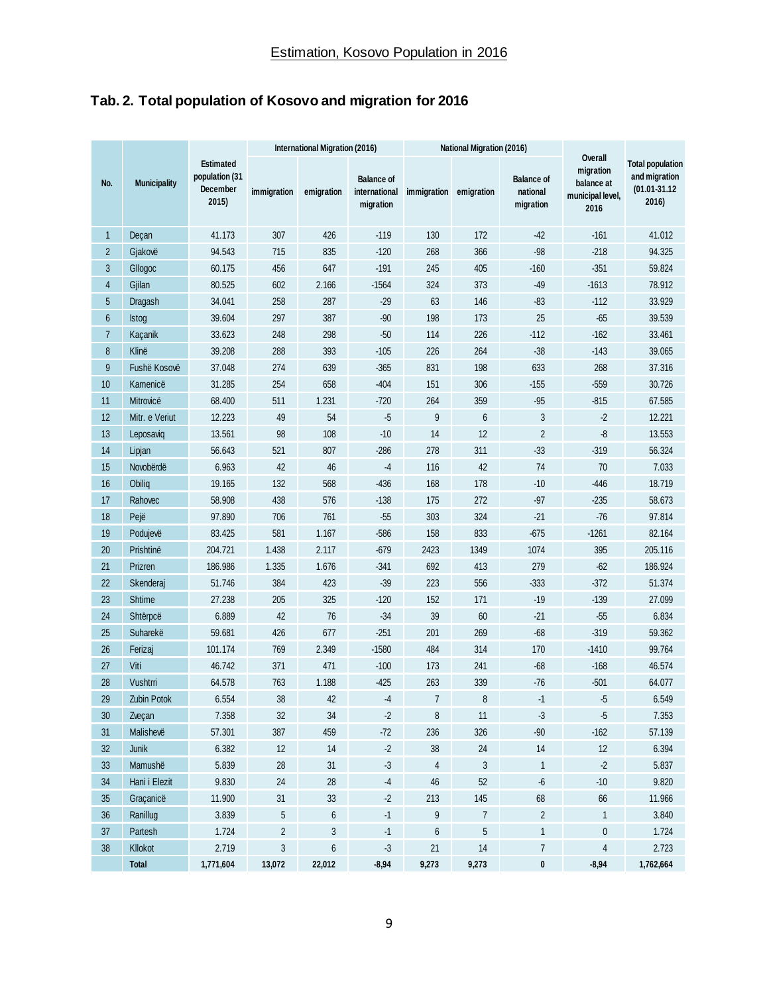## <span id="page-9-0"></span>**Tab. 2. Total population of Kosovo and migration for 2016**

|                | <b>Municipality</b> | <b>Estimated</b><br>population (31<br>December<br>2015) | International Migration (2016) |                  |                                                 | <b>National Migration (2016)</b> |                |                                            |                                                                |                                                                        |
|----------------|---------------------|---------------------------------------------------------|--------------------------------|------------------|-------------------------------------------------|----------------------------------|----------------|--------------------------------------------|----------------------------------------------------------------|------------------------------------------------------------------------|
| No.            |                     |                                                         | immigration                    | emigration       | <b>Balance of</b><br>international<br>migration | immigration                      | emigration     | <b>Balance of</b><br>national<br>migration | Overall<br>migration<br>balance at<br>municipal level,<br>2016 | <b>Total population</b><br>and migration<br>$(01.01 - 31.12)$<br>2016) |
| $\mathbf{1}$   | Deçan               | 41.173                                                  | 307                            | 426              | $-119$                                          | 130                              | 172            | $-42$                                      | $-161$                                                         | 41.012                                                                 |
| $\overline{2}$ | Gjakovë             | 94.543                                                  | 715                            | 835              | $-120$                                          | 268                              | 366            | $-98$                                      | $-218$                                                         | 94.325                                                                 |
| 3              | Gllogoc             | 60.175                                                  | 456                            | 647              | $-191$                                          | 245                              | 405            | $-160$                                     | $-351$                                                         | 59.824                                                                 |
| 4              | Gjilan              | 80.525                                                  | 602                            | 2.166            | $-1564$                                         | 324                              | 373            | $-49$                                      | $-1613$                                                        | 78.912                                                                 |
| 5              | Dragash             | 34.041                                                  | 258                            | 287              | $-29$                                           | 63                               | 146            | $-83$                                      | $-112$                                                         | 33.929                                                                 |
| $6\phantom{1}$ | <b>Istog</b>        | 39.604                                                  | 297                            | 387              | $-90$                                           | 198                              | 173            | 25                                         | $-65$                                                          | 39.539                                                                 |
| $\overline{7}$ | Kaçanik             | 33.623                                                  | 248                            | 298              | $-50$                                           | 114                              | 226            | $-112$                                     | $-162$                                                         | 33.461                                                                 |
| 8              | Klinë               | 39.208                                                  | 288                            | 393              | $-105$                                          | 226                              | 264            | $-38$                                      | $-143$                                                         | 39.065                                                                 |
| 9              | Fushë Kosovë        | 37.048                                                  | 274                            | 639              | $-365$                                          | 831                              | 198            | 633                                        | 268                                                            | 37.316                                                                 |
| 10             | Kamenicë            | 31.285                                                  | 254                            | 658              | $-404$                                          | 151                              | 306            | $-155$                                     | $-559$                                                         | 30.726                                                                 |
| 11             | Mitrovicë           | 68.400                                                  | 511                            | 1.231            | $-720$                                          | 264                              | 359            | $-95$                                      | $-815$                                                         | 67.585                                                                 |
| 12             | Mitr. e Veriut      | 12.223                                                  | 49                             | 54               | $-5$                                            | 9                                | $6\phantom{1}$ | 3                                          | $-2$                                                           | 12.221                                                                 |
| 13             | Leposaviq           | 13.561                                                  | 98                             | 108              | $-10$                                           | 14                               | 12             | $\overline{2}$                             | $-8$                                                           | 13.553                                                                 |
| 14             | Lipjan              | 56.643                                                  | 521                            | 807              | $-286$                                          | 278                              | 311            | $-33$                                      | $-319$                                                         | 56.324                                                                 |
| 15             | Novobërdë           | 6.963                                                   | 42                             | 46               | -4                                              | 116                              | 42             | 74                                         | 70                                                             | 7.033                                                                  |
| 16             | Obiliq              | 19.165                                                  | 132                            | 568              | $-436$                                          | 168                              | 178            | $-10$                                      | $-446$                                                         | 18.719                                                                 |
| 17             | Rahovec             | 58.908                                                  | 438                            | 576              | $-138$                                          | 175                              | 272            | $-97$                                      | $-235$                                                         | 58.673                                                                 |
| 18             | Pejë                | 97.890                                                  | 706                            | 761              | $-55$                                           | 303                              | 324            | $-21$                                      | $-76$                                                          | 97.814                                                                 |
| 19             | Podujevë            | 83.425                                                  | 581                            | 1.167            | $-586$                                          | 158                              | 833            | $-675$                                     | $-1261$                                                        | 82.164                                                                 |
| 20             | Prishtinë           | 204.721                                                 | 1.438                          | 2.117            | $-679$                                          | 2423                             | 1349           | 1074                                       | 395                                                            | 205.116                                                                |
| 21             | Prizren             | 186.986                                                 | 1.335                          | 1.676            | $-341$                                          | 692                              | 413            | 279                                        | $-62$                                                          | 186.924                                                                |
| 22             | Skenderaj           | 51.746                                                  | 384                            | 423              | $-39$                                           | 223                              | 556            | $-333$                                     | $-372$                                                         | 51.374                                                                 |
| 23             | <b>Shtime</b>       | 27.238                                                  | 205                            | 325              | $-120$                                          | 152                              | 171            | $-19$                                      | $-139$                                                         | 27.099                                                                 |
| 24             | Shtërpcë            | 6.889                                                   | 42                             | 76               | $-34$                                           | 39                               | 60             | $-21$                                      | $-55$                                                          | 6.834                                                                  |
| 25             | Suharekë            | 59.681                                                  | 426                            | 677              | $-251$                                          | 201                              | 269            | $-68$                                      | $-319$                                                         | 59.362                                                                 |
| 26             | Ferizaj             | 101.174                                                 | 769                            | 2.349            | $-1580$                                         | 484                              | 314            | 170                                        | $-1410$                                                        | 99.764                                                                 |
| 27             | Viti                | 46.742                                                  | 371                            | 471              | $-100$                                          | 173                              | 241            | $-68$                                      | $-168$                                                         | 46.574                                                                 |
| 28             | Vushtrri            | 64.578                                                  | 763                            | 1.188            | $-425$                                          | 263                              | 339            | $-76$                                      | $-501$                                                         | 64.077                                                                 |
| 29             | Zubin Potok         | 6.554                                                   | 38                             | 42               | $-4$                                            | $\overline{7}$                   | 8              | $-1$                                       | -5                                                             | 6.549                                                                  |
| 30             | Zveçan              | 7.358                                                   | 32                             | 34               | $-2$                                            | 8                                | 11             | $-3$                                       | $-5$                                                           | 7.353                                                                  |
| 31             | Malishevë           | 57.301                                                  | 387                            | 459              | $-72$                                           | 236                              | 326            | $-90$                                      | $-162$                                                         | 57.139                                                                 |
| 32             | Junik               | 6.382                                                   | 12                             | 14               | $-2$                                            | 38                               | 24             | $14$                                       | 12                                                             | 6.394                                                                  |
| 33             | Mamushë             | 5.839                                                   | 28                             | 31               | $-3$                                            | $\overline{4}$                   | 3              | $\mathbf{1}$                               | $\cdot$ 2                                                      | 5.837                                                                  |
| 34             | Hani i Elezit       | 9.830                                                   | 24                             | 28               | $-4$                                            | 46                               | 52             | $-6\,$                                     | $-10$                                                          | 9.820                                                                  |
| 35             | Graçanicë           | 11.900                                                  | 31                             | 33               | $\cdot$                                         | 213                              | 145            | 68                                         | 66                                                             | 11.966                                                                 |
| 36             | Ranillug            | 3.839                                                   | 5                              | 6                | $-1$                                            | 9                                | $\overline{7}$ | $\overline{2}$                             | $\mathbf{1}$                                                   | 3.840                                                                  |
| $37\,$         | Partesh             | 1.724                                                   | $\overline{c}$                 | 3                | $-1$                                            | 6                                | 5              | $\mathbf{1}$                               | $\mathbf 0$                                                    | 1.724                                                                  |
| 38             | Kllokot             | 2.719                                                   | $\mathfrak{S}$                 | $\boldsymbol{6}$ | $-3$                                            | 21                               | 14             | $\overline{7}$                             | $\overline{4}$                                                 | 2.723                                                                  |
|                | <b>Total</b>        | 1,771,604                                               | 13,072                         | 22,012           | $-8,94$                                         | 9,273                            | 9,273          | $\pmb{0}$                                  | $-8,94$                                                        | 1,762,664                                                              |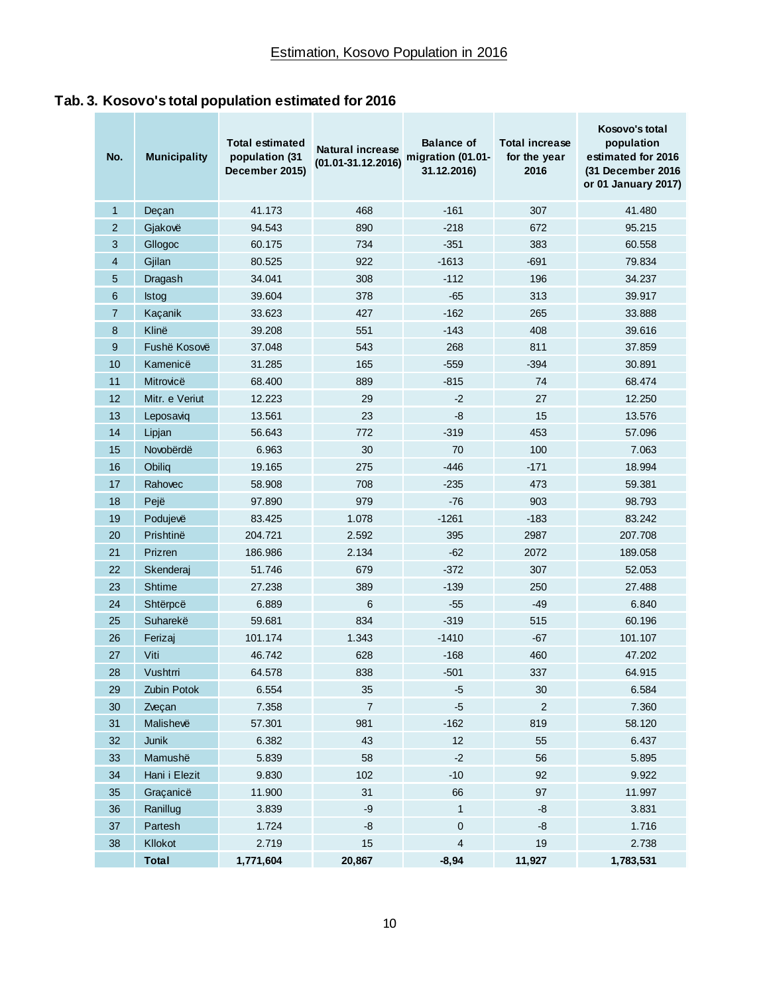<span id="page-10-0"></span>

| No.            | <b>Municipality</b> | <b>Total estimated</b><br>population (31<br>December 2015) | <b>Natural increase</b><br>$(01.01 - 31.12.2016)$ | <b>Balance of</b><br>migration (01.01-<br>31.12.2016) | <b>Total increase</b><br>for the year<br>2016 | Kosovo's total<br>population<br>estimated for 2016<br>(31 December 2016)<br>or 01 January 2017) |  |
|----------------|---------------------|------------------------------------------------------------|---------------------------------------------------|-------------------------------------------------------|-----------------------------------------------|-------------------------------------------------------------------------------------------------|--|
| 1              | Deçan               | 41.173                                                     | 468                                               | $-161$                                                | 307                                           | 41.480                                                                                          |  |
| $\overline{2}$ | Gjakovë             | 94.543                                                     | 890                                               | $-218$                                                | 672                                           | 95.215                                                                                          |  |
| 3              | Gllogoc             | 60.175                                                     | 734                                               | $-351$                                                | 383                                           | 60.558                                                                                          |  |
| 4              | Gjilan              | 80.525                                                     | 922                                               | $-1613$                                               | $-691$                                        | 79.834                                                                                          |  |
| 5              | Dragash             | 34.041                                                     | 308                                               | $-112$                                                | 196                                           | 34.237                                                                                          |  |
| 6              | <b>Istog</b>        | 39.604                                                     | 378                                               | $-65$                                                 | 313                                           | 39.917                                                                                          |  |
| 7              | Kaçanik             | 33.623                                                     | 427                                               | $-162$                                                | 265                                           | 33.888                                                                                          |  |
| 8              | Klinë               | 39.208                                                     | 551                                               | $-143$                                                | 408                                           | 39.616                                                                                          |  |
| 9              | Fushë Kosovë        | 37.048                                                     | 543                                               | 268                                                   | 811                                           | 37.859                                                                                          |  |
| 10             | Kamenicë            | 31.285                                                     | 165                                               | $-559$                                                | $-394$                                        | 30.891                                                                                          |  |
| 11             | Mitrovicë           | 68.400                                                     | 889                                               | $-815$                                                | 74                                            | 68.474                                                                                          |  |
| 12             | Mitr. e Veriut      | 12.223                                                     | 29                                                | $-2$                                                  | 27                                            | 12.250                                                                                          |  |
| 13             | Leposaviq           | 13.561                                                     | 23                                                | -8                                                    | 15                                            | 13.576                                                                                          |  |
| 14             | Lipjan              | 56.643                                                     | 772                                               | $-319$                                                | 453                                           | 57.096                                                                                          |  |
| 15             | Novobërdë           | 6.963                                                      | 30                                                | 70                                                    | 100                                           | 7.063                                                                                           |  |
| 16             | Obiliq              | 19.165                                                     | 275                                               | $-446$                                                | $-171$                                        | 18.994                                                                                          |  |
| 17             | Rahovec             | 58.908                                                     | 708                                               | $-235$                                                | 473                                           | 59.381                                                                                          |  |
| 18             | Pejë                | 97.890                                                     | 979                                               | $-76$                                                 | 903                                           | 98.793                                                                                          |  |
| 19             | Podujevë            | 83.425                                                     | 1.078                                             | $-1261$                                               | $-183$                                        | 83.242                                                                                          |  |
| 20             | Prishtinë           | 204.721                                                    | 2.592                                             | 395                                                   | 2987                                          | 207.708                                                                                         |  |
| 21             | Prizren             | 186.986                                                    | 2.134                                             | $-62$                                                 | 2072                                          | 189.058                                                                                         |  |
| 22             | Skenderaj           | 51.746                                                     | 679                                               | $-372$                                                | 307                                           | 52.053                                                                                          |  |
| 23             | <b>Shtime</b>       | 27.238                                                     | 389                                               | $-139$                                                | 250                                           | 27.488                                                                                          |  |
| 24             | Shtërpcë            | 6.889                                                      | 6                                                 | $-55$                                                 | $-49$                                         | 6.840                                                                                           |  |
| 25             | Suharekë            | 59.681                                                     | 834                                               | $-319$                                                | 515                                           | 60.196                                                                                          |  |
| 26             | Ferizaj             | 101.174                                                    | 1.343                                             | $-1410$                                               | $-67$                                         | 101.107                                                                                         |  |
| 27             | Viti                | 46.742                                                     | 628                                               | $-168$                                                | 460                                           | 47.202                                                                                          |  |
| 28             | Vushtmi             | 64.578                                                     | 838                                               | $-501$                                                | 337                                           | 64.915                                                                                          |  |
| 29             | Zubin Potok         | 6.554                                                      | 35                                                | $-5$                                                  | 30                                            | 6.584                                                                                           |  |
| 30             | Zveçan              | 7.358                                                      | $\overline{7}$                                    | $-5$                                                  | $\overline{2}$                                | 7.360                                                                                           |  |
| 31             | Malishevë           | 57.301                                                     | 981                                               | $-162$                                                | 819                                           | 58.120                                                                                          |  |
| 32             | Junik               | 6.382                                                      | 43                                                | 12                                                    | 55                                            | 6.437                                                                                           |  |
| 33             | Mamushë             | 5.839                                                      | 58                                                | $-2$                                                  | 56                                            | 5.895                                                                                           |  |
| 34             | Hani i Elezit       | 9.830                                                      | 102                                               | $-10$                                                 | 92                                            | 9.922                                                                                           |  |
| 35             | Graçanicë           | 11.900                                                     | 31                                                | 66                                                    | 97                                            | 11.997                                                                                          |  |
| 36             | Ranillug            | 3.839                                                      | $-9$                                              | $\mathbf{1}$                                          | $-8$                                          | 3.831                                                                                           |  |
| 37             | Partesh             | 1.724                                                      | $-8$                                              | 0                                                     | $-8$                                          | 1.716                                                                                           |  |
| $38\,$         | Kllokot             | 2.719                                                      | 15                                                | 4                                                     | 19                                            | 2.738                                                                                           |  |
|                | <b>Total</b>        | 1,771,604                                                  | 20,867                                            | $-8,94$                                               | 11,927                                        | 1,783,531                                                                                       |  |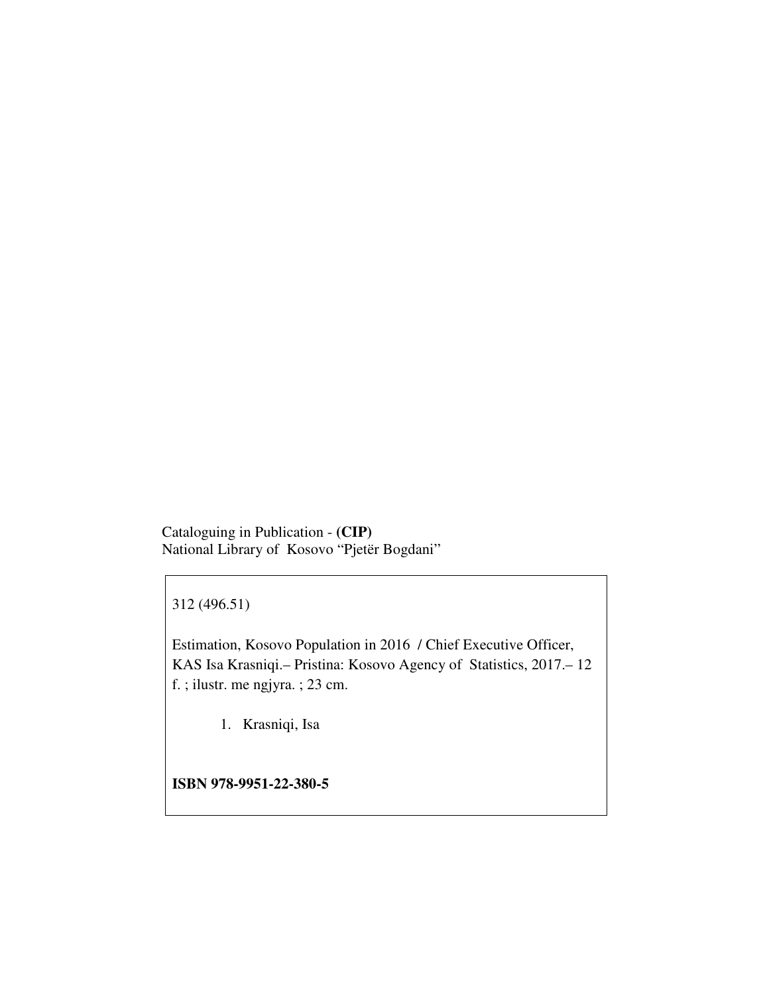Cataloguing in Publication - **(CIP)**  National Library of Kosovo "Pjetër Bogdani"

312 (496.51)

Estimation, Kosovo Population in 2016 / Chief Executive Officer, KAS Isa Krasniqi.– Pristina: Kosovo Agency of Statistics, 2017.– 12 f. ; ilustr. me ngjyra. ; 23 cm.

1. Krasniqi, Isa

**ISBN 978-9951-22-380-5**